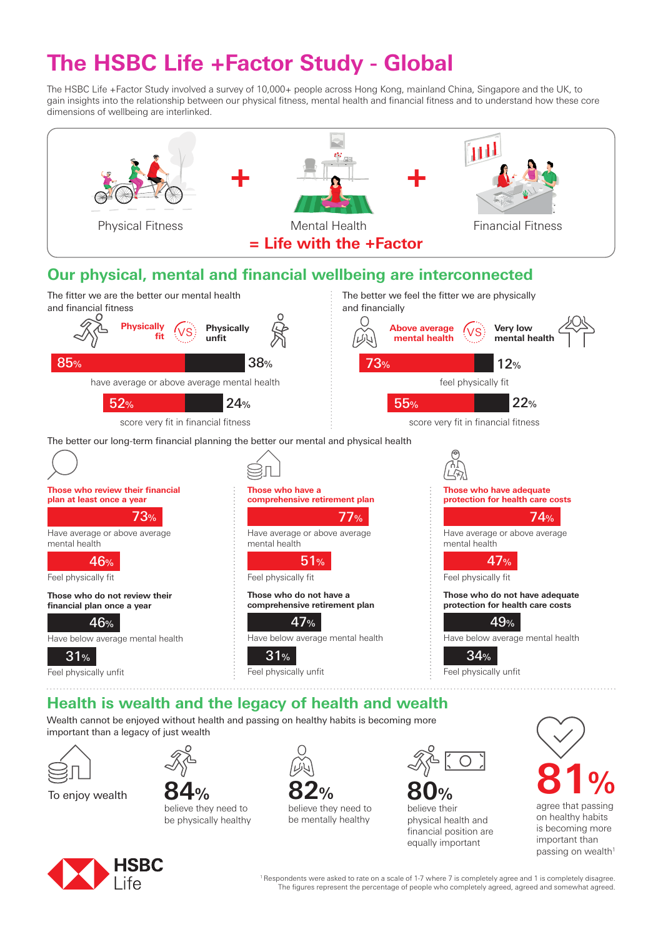# **The HSBC Life +Factor Study - Global**

The HSBC Life +Factor Study involved a survey of 10,000+ people across Hong Kong, mainland China, Singapore and the UK, to gain insights into the relationship between our physical fitness, mental health and financial fitness and to understand how these core dimensions of wellbeing are interlinked.



Wealth cannot be enjoyed without health and passing on healthy habits is becoming more important than a legacy of just wealth



**84%** believe they need to be physically healthy



believe they need to be mentally healthy



believe their physical health and financial position are equally important



on healthy habits is becoming more important than passing on wealth<sup>1</sup>



1 Respondents were asked to rate on a scale of 1-7 where 7 is completely agree and 1 is completely disagree. The figures represent the percentage of people who completely agreed, agreed and somewhat agreed.